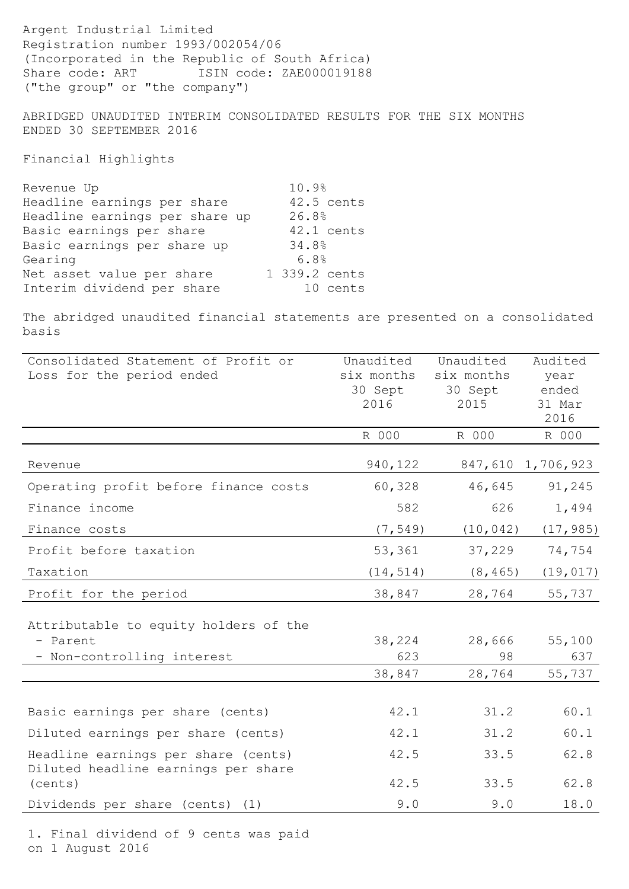Argent Industrial Limited Registration number 1993/002054/06 (Incorporated in the Republic of South Africa) Share code: ART ISIN code: ZAE000019188 ("the group" or "the company")

ABRIDGED UNAUDITED INTERIM CONSOLIDATED RESULTS FOR THE SIX MONTHS ENDED 30 SEPTEMBER 2016

Financial Highlights

| Revenue Up                     | 10.9%         |
|--------------------------------|---------------|
| Headline earnings per share    | 42.5 cents    |
| Headline earnings per share up | 26.8%         |
| Basic earnings per share       | 42.1 cents    |
| Basic earnings per share up    | 34.8%         |
| Gearing                        | 6.8%          |
| Net asset value per share      | 1 339.2 cents |
| Interim dividend per share     | 10 cents      |

The abridged unaudited financial statements are presented on a consolidated basis

| Consolidated Statement of Profit or                                        | Unaudited  | Unaudited  | Audited           |
|----------------------------------------------------------------------------|------------|------------|-------------------|
| Loss for the period ended                                                  | six months | six months | year              |
|                                                                            | 30 Sept    | 30 Sept    | ended             |
|                                                                            | 2016       | 2015       | 31 Mar            |
|                                                                            |            |            | 2016              |
|                                                                            | R 000      | R 000      | R 000             |
| Revenue                                                                    | 940,122    |            | 847,610 1,706,923 |
| Operating profit before finance costs                                      | 60,328     | 46,645     | 91,245            |
| Finance income                                                             | 582        | 626        | 1,494             |
| Finance costs                                                              | (7, 549)   | (10, 042)  | (17, 985)         |
| Profit before taxation                                                     | 53,361     | 37,229     | 74,754            |
| Taxation                                                                   | (14, 514)  | (8, 465)   | (19, 017)         |
| Profit for the period                                                      | 38,847     | 28,764     | 55,737            |
|                                                                            |            |            |                   |
| Attributable to equity holders of the                                      |            |            |                   |
| - Parent                                                                   | 38,224     | 28,666     | 55,100            |
| - Non-controlling interest                                                 | 623        | 98         | 637               |
|                                                                            | 38,847     | 28,764     | 55,737            |
|                                                                            |            |            |                   |
| Basic earnings per share (cents)                                           | 42.1       | 31.2       | 60.1              |
| Diluted earnings per share (cents)                                         | 42.1       | 31.2       | 60.1              |
| Headline earnings per share (cents)<br>Diluted headline earnings per share | 42.5       | 33.5       | 62.8              |
| (cents)                                                                    | 42.5       | 33.5       | 62.8              |
| Dividends per share (cents) (1)                                            | 9.0        | 9.0        | 18.0              |

1. Final dividend of 9 cents was paid on 1 August 2016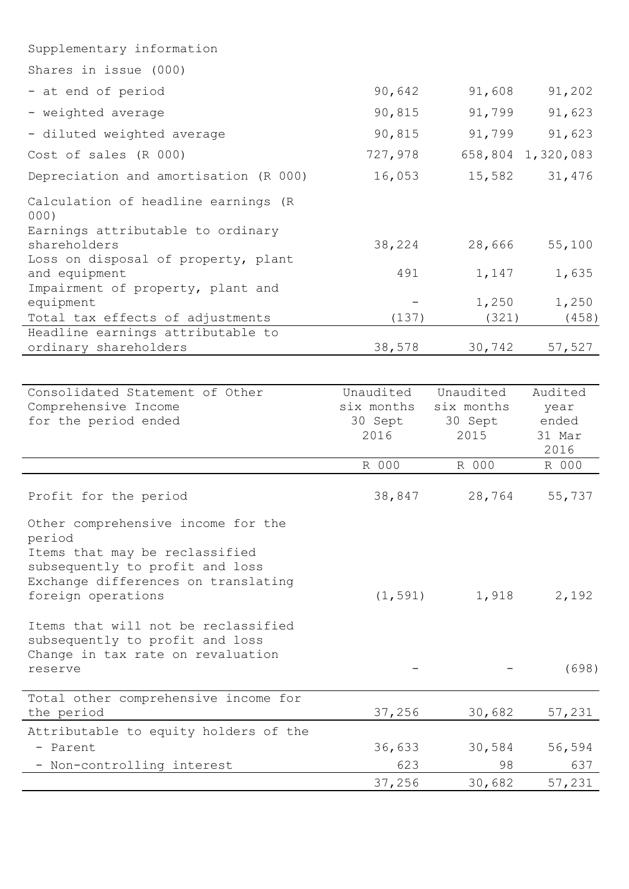| Supplementary information                            |         |        |                   |
|------------------------------------------------------|---------|--------|-------------------|
| Shares in issue (000)                                |         |        |                   |
| - at end of period                                   | 90,642  | 91,608 | 91,202            |
| - weighted average                                   | 90,815  | 91,799 | 91,623            |
| - diluted weighted average                           | 90,815  | 91,799 | 91,623            |
| Cost of sales (R 000)                                | 727,978 |        | 658,804 1,320,083 |
| Depreciation and amortisation (R 000)                | 16,053  | 15,582 | 31,476            |
| Calculation of headline earnings (R<br>000)          |         |        |                   |
| Earnings attributable to ordinary<br>shareholders    | 38,224  | 28,666 | 55,100            |
| Loss on disposal of property, plant<br>and equipment | 491     | 1,147  | 1,635             |
| Impairment of property, plant and<br>equipment       |         | 1,250  | 1,250             |
| Total tax effects of adjustments                     | (137)   | (321)  | (458)             |
| Headline earnings attributable to                    |         |        |                   |
| ordinary shareholders                                | 38,578  | 30,742 | 57,527            |

| Consolidated Statement of Other                                                                                                                                                | Unaudited  | Unaudited  | Audited |
|--------------------------------------------------------------------------------------------------------------------------------------------------------------------------------|------------|------------|---------|
| Comprehensive Income                                                                                                                                                           | six months | six months | year    |
| for the period ended                                                                                                                                                           | 30 Sept    | 30 Sept    | ended   |
|                                                                                                                                                                                | 2016       | 2015       | 31 Mar  |
|                                                                                                                                                                                |            |            | 2016    |
|                                                                                                                                                                                | R 000      | R 000      | R 000   |
| Profit for the period                                                                                                                                                          | 38,847     | 28,764     | 55,737  |
| Other comprehensive income for the<br>period<br>Items that may be reclassified<br>subsequently to profit and loss<br>Exchange differences on translating<br>foreign operations | (1, 591)   | 1,918      | 2,192   |
| Items that will not be reclassified<br>subsequently to profit and loss<br>Change in tax rate on revaluation<br>reserve                                                         |            |            | (698)   |
| Total other comprehensive income for                                                                                                                                           |            |            |         |
| the period                                                                                                                                                                     | 37,256     | 30,682     | 57,231  |
| Attributable to equity holders of the                                                                                                                                          |            |            |         |
| - Parent                                                                                                                                                                       | 36,633     | 30,584     | 56,594  |
| - Non-controlling interest                                                                                                                                                     | 623        | 98         | 637     |
|                                                                                                                                                                                | 37,256     | 30,682     | 57,231  |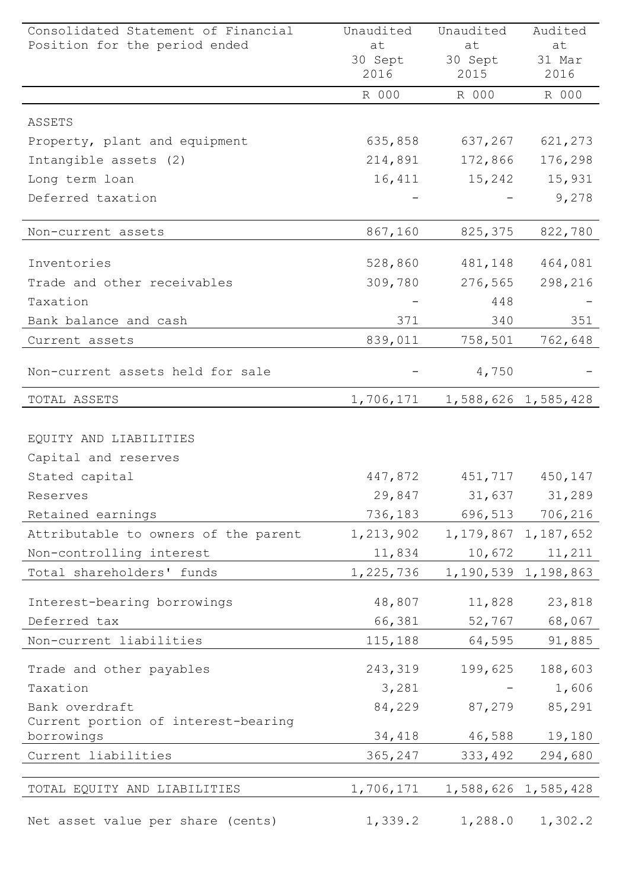| Consolidated Statement of Financial<br>Position for the period ended | Unaudited<br>at | Unaudited<br>at | Audited<br>at           |
|----------------------------------------------------------------------|-----------------|-----------------|-------------------------|
|                                                                      | 30 Sept         | 30 Sept         | 31 Mar                  |
|                                                                      | 2016            | 2015            | 2016                    |
|                                                                      | R 000           | R 000           | R 000                   |
| ASSETS                                                               |                 |                 |                         |
| Property, plant and equipment                                        | 635,858         | 637,267         | 621,273                 |
| Intangible assets (2)                                                | 214,891         | 172,866         | 176,298                 |
| Long term loan                                                       | 16,411          | 15,242          | 15,931                  |
| Deferred taxation                                                    |                 |                 | 9,278                   |
| Non-current assets                                                   | 867,160         | 825,375         | 822,780                 |
|                                                                      |                 |                 |                         |
| Inventories                                                          | 528,860         | 481,148         | 464,081                 |
| Trade and other receivables                                          | 309,780         | 276,565         | 298,216                 |
| Taxation                                                             |                 | 448             |                         |
| Bank balance and cash                                                | 371             | 340             | 351                     |
| Current assets                                                       | 839,011         | 758,501         | 762,648                 |
| Non-current assets held for sale                                     |                 | 4,750           |                         |
| TOTAL ASSETS                                                         | 1,706,171       |                 | 1,588,626 1,585,428     |
|                                                                      |                 |                 |                         |
| EQUITY AND LIABILITIES                                               |                 |                 |                         |
| Capital and reserves                                                 |                 |                 |                         |
| Stated capital                                                       | 447,872         |                 | 451,717 450,147         |
| Reserves                                                             | 29,847          | 31,637          | 31,289                  |
| Retained earnings                                                    | 736,183         | 696,513         | 706,216                 |
| Attributable to owners of the parent                                 | 1,213,902       |                 | 1, 179, 867 1, 187, 652 |
| Non-controlling interest                                             | 11,834          | 10,672          | 11,211                  |
| Total shareholders' funds                                            | 1,225,736       |                 | 1,190,539 1,198,863     |
| Interest-bearing borrowings                                          | 48,807          | 11,828          | 23,818                  |
| Deferred tax                                                         | 66,381          | 52,767          | 68,067                  |
| Non-current liabilities                                              | 115,188         | 64,595          | 91,885                  |
| Trade and other payables                                             | 243,319         | 199,625         | 188,603                 |
| Taxation                                                             | 3,281           |                 | 1,606                   |
| Bank overdraft                                                       | 84,229          | 87,279          | 85,291                  |
| Current portion of interest-bearing                                  |                 |                 |                         |
| borrowings                                                           | 34,418          | 46,588          | 19,180                  |
| Current liabilities                                                  | 365,247         | 333,492         | 294,680                 |
| TOTAL EQUITY AND LIABILITIES                                         | 1,706,171       |                 | 1,588,626 1,585,428     |
|                                                                      |                 |                 |                         |
| Net asset value per share (cents)                                    | 1,339.2         | 1,288.0         | 1,302.2                 |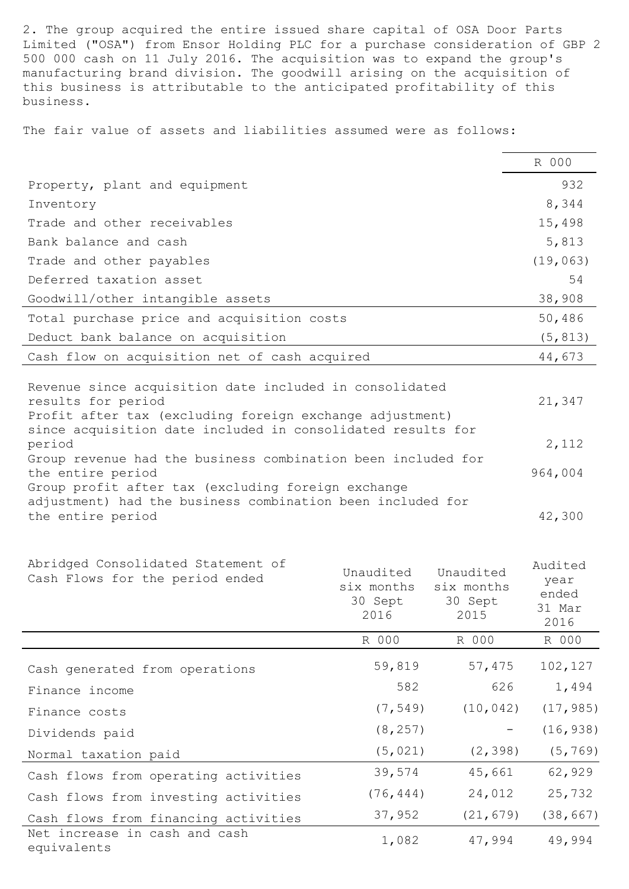2. The group acquired the entire issued share capital of OSA Door Parts Limited ("OSA") from Ensor Holding PLC for a purchase consideration of GBP 2 500 000 cash on 11 July 2016. The acquisition was to expand the group's manufacturing brand division. The goodwill arising on the acquisition of this business is attributable to the anticipated profitability of this business.

The fair value of assets and liabilities assumed were as follows:

|                                                                                                                                                                                                                                                                                                                                                                                                                                                                                                                           |                                    |                                    | R 000                                                            |
|---------------------------------------------------------------------------------------------------------------------------------------------------------------------------------------------------------------------------------------------------------------------------------------------------------------------------------------------------------------------------------------------------------------------------------------------------------------------------------------------------------------------------|------------------------------------|------------------------------------|------------------------------------------------------------------|
| Property, plant and equipment                                                                                                                                                                                                                                                                                                                                                                                                                                                                                             |                                    |                                    | 932                                                              |
| Inventory                                                                                                                                                                                                                                                                                                                                                                                                                                                                                                                 |                                    |                                    | 8,344                                                            |
| Trade and other receivables                                                                                                                                                                                                                                                                                                                                                                                                                                                                                               |                                    |                                    | 15,498                                                           |
| Bank balance and cash                                                                                                                                                                                                                                                                                                                                                                                                                                                                                                     |                                    |                                    | 5,813                                                            |
| Trade and other payables                                                                                                                                                                                                                                                                                                                                                                                                                                                                                                  |                                    |                                    | (19, 063)                                                        |
| Deferred taxation asset                                                                                                                                                                                                                                                                                                                                                                                                                                                                                                   |                                    |                                    | 54                                                               |
| Goodwill/other intangible assets                                                                                                                                                                                                                                                                                                                                                                                                                                                                                          |                                    |                                    | 38,908                                                           |
| Total purchase price and acquisition costs                                                                                                                                                                                                                                                                                                                                                                                                                                                                                |                                    |                                    | 50,486                                                           |
| Deduct bank balance on acquisition                                                                                                                                                                                                                                                                                                                                                                                                                                                                                        |                                    |                                    | (5, 813)                                                         |
| Cash flow on acquisition net of cash acquired                                                                                                                                                                                                                                                                                                                                                                                                                                                                             |                                    |                                    | 44,673                                                           |
| Revenue since acquisition date included in consolidated<br>results for period<br>Profit after tax (excluding foreign exchange adjustment)<br>since acquisition date included in consolidated results for<br>period<br>Group revenue had the business combination been included for<br>the entire period<br>Group profit after tax (excluding foreign exchange<br>adjustment) had the business combination been included for<br>the entire period<br>Abridged Consolidated Statement of<br>Cash Flows for the period ended | Unaudited<br>six months<br>30 Sept | Unaudited<br>six months<br>30 Sept | 21,347<br>2,112<br>964,004<br>42,300<br>Audited<br>year<br>ended |
|                                                                                                                                                                                                                                                                                                                                                                                                                                                                                                                           | 2016                               | 2015                               | 31 Mar<br>2016                                                   |
|                                                                                                                                                                                                                                                                                                                                                                                                                                                                                                                           | R 000                              | R 000                              | R 000                                                            |
| Cash generated from operations                                                                                                                                                                                                                                                                                                                                                                                                                                                                                            | 59,819                             | 57,475                             | 102,127                                                          |
| Finance income                                                                                                                                                                                                                                                                                                                                                                                                                                                                                                            | 582                                | 626                                | 1,494                                                            |
| Finance costs                                                                                                                                                                                                                                                                                                                                                                                                                                                                                                             | (7, 549)                           | (10, 042)                          | (17, 985)                                                        |

Dividends paid (8,257) - (16,938)

Normal taxation paid (5,021) (2,398) (5,769) Cash flows from operating activities 39,574 45,661 62,929 Cash flows from investing activities (76,444) 24,012 25,732

Cash flows from financing activities 37,952 (21,679) (38,667) Net increase in cash and cash 1,082 47,994 49,994<br>equivalents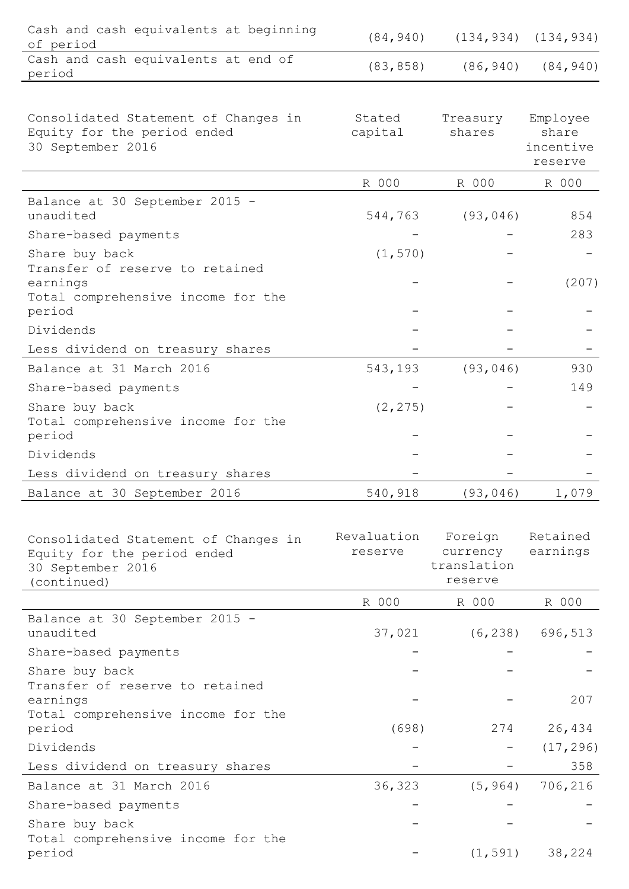| Cash and cash equivalents at beginning<br>of period                                                     | (84, 940)              |                                               | $(134, 934)$ $(134, 934)$                 |
|---------------------------------------------------------------------------------------------------------|------------------------|-----------------------------------------------|-------------------------------------------|
| Cash and cash equivalents at end of<br>period                                                           | (83, 858)              | (86, 940)                                     | (84, 940)                                 |
|                                                                                                         |                        |                                               |                                           |
| Consolidated Statement of Changes in<br>Equity for the period ended<br>30 September 2016                | Stated<br>capital      | Treasury<br>shares                            | Employee<br>share<br>incentive<br>reserve |
|                                                                                                         | R 000                  | R 000                                         | R 000                                     |
| Balance at 30 September 2015 -<br>unaudited<br>Share-based payments                                     | 544,763                | (93, 046)                                     | 854<br>283                                |
| Share buy back<br>Transfer of reserve to retained                                                       | (1, 570)               |                                               |                                           |
| earnings<br>Total comprehensive income for the<br>period                                                |                        |                                               | (207)                                     |
| Dividends                                                                                               |                        |                                               |                                           |
| Less dividend on treasury shares                                                                        |                        |                                               |                                           |
| Balance at 31 March 2016                                                                                | 543,193                | (93, 046)                                     | 930                                       |
| Share-based payments                                                                                    |                        |                                               | 149                                       |
| Share buy back<br>Total comprehensive income for the<br>period                                          | (2, 275)               |                                               |                                           |
| Dividends                                                                                               |                        |                                               |                                           |
| Less dividend on treasury shares                                                                        |                        |                                               |                                           |
| Balance at 30 September 2016                                                                            | 540,918                | (93, 046)                                     | 1,079                                     |
|                                                                                                         |                        |                                               |                                           |
| Consolidated Statement of Changes in<br>Equity for the period ended<br>30 September 2016<br>(continued) | Revaluation<br>reserve | Foreign<br>currency<br>translation<br>reserve | Retained<br>earnings                      |
|                                                                                                         | R 000                  | R 000                                         | R 000                                     |
| Balance at 30 September 2015 -<br>unaudited                                                             | 37,021                 | (6, 238)                                      | 696,513                                   |
| Share-based payments                                                                                    |                        |                                               |                                           |
| Share buy back<br>Transfer of reserve to retained<br>earnings                                           |                        |                                               | 207                                       |
| Total comprehensive income for the<br>period                                                            | (698)                  | 274                                           | 26,434                                    |
| Dividends                                                                                               |                        | $\blacksquare$                                | (17, 296)                                 |
| Less dividend on treasury shares                                                                        |                        |                                               | 358                                       |
| Balance at 31 March 2016                                                                                | 36,323                 | (5, 964)                                      | 706,216                                   |
| Share-based payments                                                                                    |                        |                                               |                                           |
| Share buy back<br>Total comprehensive income for the                                                    |                        |                                               |                                           |
| period                                                                                                  |                        | (1, 591)                                      | 38,224                                    |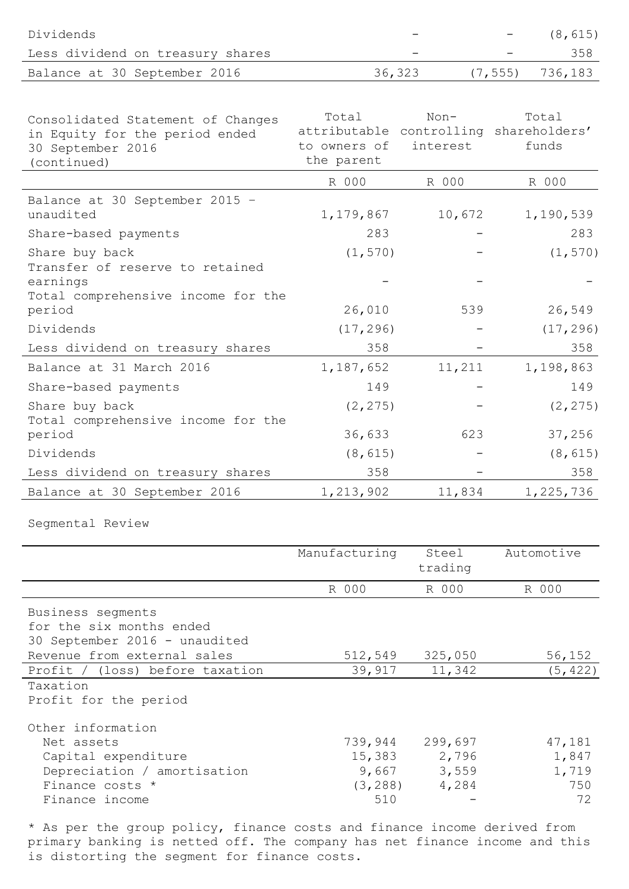| Dividends                                                                                               |                                                                               |                  |          | (8, 615)       |
|---------------------------------------------------------------------------------------------------------|-------------------------------------------------------------------------------|------------------|----------|----------------|
| Less dividend on treasury shares                                                                        |                                                                               |                  |          | 358            |
| Balance at 30 September 2016                                                                            |                                                                               | 36,323           | (7, 555) | 736,183        |
|                                                                                                         |                                                                               |                  |          |                |
| Consolidated Statement of Changes<br>in Equity for the period ended<br>30 September 2016<br>(continued) | Total<br>attributable controlling shareholders'<br>to owners of<br>the parent | Non-<br>interest |          | Total<br>funds |
|                                                                                                         | R 000                                                                         | R 000            |          | R 000          |
| Balance at 30 September 2015 -<br>unaudited                                                             | 1,179,867                                                                     | 10,672           |          | 1,190,539      |
| Share-based payments                                                                                    | 283                                                                           |                  |          | 283            |
| Share buy back<br>Transfer of reserve to retained<br>earnings                                           | (1, 570)                                                                      |                  |          | (1, 570)       |
| Total comprehensive income for the<br>period                                                            | 26,010                                                                        | 539              |          | 26,549         |
| Dividends                                                                                               | (17, 296)                                                                     |                  |          | (17, 296)      |
| Less dividend on treasury shares                                                                        | 358                                                                           |                  |          | 358            |
| Balance at 31 March 2016                                                                                | 1,187,652                                                                     | 11,211           |          | 1,198,863      |
| Share-based payments                                                                                    | 149                                                                           |                  |          | 149            |
| Share buy back<br>Total comprehensive income for the                                                    | (2, 275)                                                                      |                  |          | (2, 275)       |
| period                                                                                                  | 36,633                                                                        | 623              |          | 37,256         |
| Dividends                                                                                               | (8, 615)                                                                      |                  |          | (8, 615)       |
| Less dividend on treasury shares                                                                        | 358                                                                           |                  |          | 358            |

Segmental Review

|                                                                                                                            | Manufacturing                                 | Steel<br>trading                   | Automotive                            |
|----------------------------------------------------------------------------------------------------------------------------|-----------------------------------------------|------------------------------------|---------------------------------------|
|                                                                                                                            | R 000                                         | R 000                              | R 000                                 |
| Business segments<br>for the six months ended<br>30 September 2016 - unaudited                                             |                                               |                                    |                                       |
| Revenue from external sales                                                                                                | 512,549                                       | 325,050                            | 56,152                                |
| Profit / (loss) before taxation                                                                                            | 39,917                                        | 11,342                             | (5, 422)                              |
| Taxation                                                                                                                   |                                               |                                    |                                       |
| Profit for the period                                                                                                      |                                               |                                    |                                       |
| Other information<br>Net assets<br>Capital expenditure<br>Depreciation / amortisation<br>Finance costs *<br>Finance income | 739,944<br>15,383<br>9,667<br>(3, 288)<br>510 | 299,697<br>2,796<br>3,559<br>4,284 | 47,181<br>1,847<br>1,719<br>750<br>72 |

Balance at 30 September 2016 1,213,902 11,834 1,225,736

\* As per the group policy, finance costs and finance income derived from primary banking is netted off. The company has net finance income and this is distorting the segment for finance costs.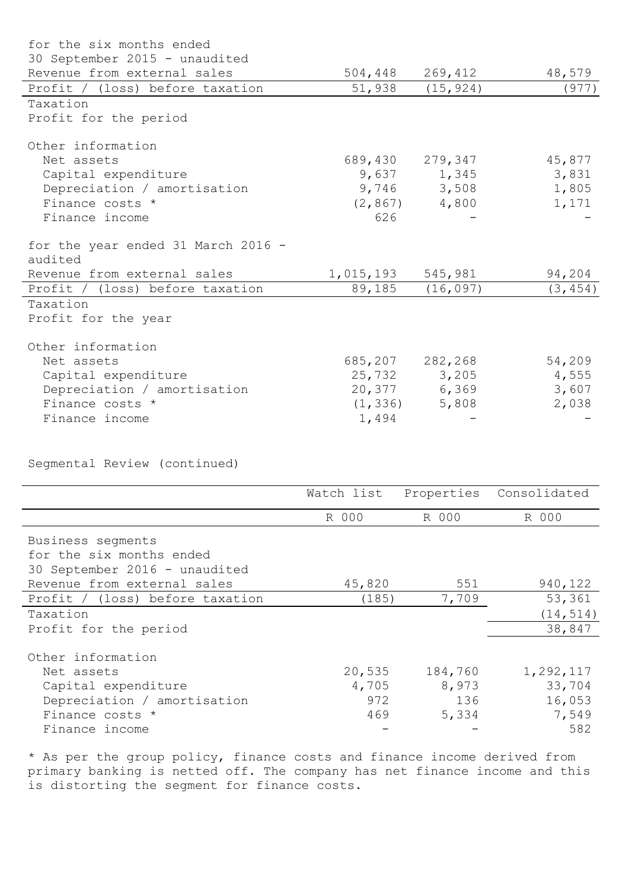| for the six months ended           |           |                 |          |
|------------------------------------|-----------|-----------------|----------|
| 30 September 2015 - unaudited      |           |                 |          |
| Revenue from external sales        | 504,448   | 269,412         | 48,579   |
| Profit / (loss) before taxation    | 51,938    | (15, 924)       | (977)    |
| Taxation                           |           |                 |          |
| Profit for the period              |           |                 |          |
| Other information                  |           |                 |          |
| Net assets                         |           | 689,430 279,347 | 45,877   |
| Capital expenditure                |           | 9,637 1,345     | 3,831    |
| Depreciation / amortisation        |           | 9,746 3,508     | 1,805    |
| Finance costs *                    | (2, 867)  | 4,800           | 1,171    |
| Finance income                     | 626       |                 |          |
| for the year ended 31 March 2016 - |           |                 |          |
| audited                            |           |                 |          |
| Revenue from external sales        | 1,015,193 | 545,981         | 94,204   |
| Profit / (loss) before taxation    | 89,185    | (16, 097)       | (3, 454) |
| Taxation                           |           |                 |          |
| Profit for the year                |           |                 |          |
| Other information                  |           |                 |          |
| Net assets                         | 685,207   | 282,268         | 54,209   |
| Capital expenditure                |           | 25,732 3,205    | 4,555    |
| Depreciation / amortisation        |           | 20,377 6,369    | 3,607    |
| Finance costs *                    | (1, 336)  | 5,808           | 2,038    |
| Finance income                     | 1,494     |                 |          |
|                                    |           |                 |          |

Segmental Review (continued)

|                                 | Watch list |         | Properties Consolidated |
|---------------------------------|------------|---------|-------------------------|
|                                 | R 000      | R 000   | R 000                   |
| Business segments               |            |         |                         |
| for the six months ended        |            |         |                         |
| 30 September 2016 - unaudited   |            |         |                         |
| Revenue from external sales     | 45,820     | 551     | 940,122                 |
| Profit / (loss) before taxation | (185)      | 7,709   | 53,361                  |
| Taxation                        |            |         | (14, 514)               |
| Profit for the period           |            |         | 38,847                  |
| Other information               |            |         |                         |
| Net assets                      | 20,535     | 184,760 | 1,292,117               |
| Capital expenditure             | 4,705      | 8,973   | 33,704                  |
| Depreciation / amortisation     | 972        | 136     | 16,053                  |
| Finance costs *                 | 469        | 5,334   | 7,549                   |
| Finance income                  |            |         | 582                     |

\* As per the group policy, finance costs and finance income derived from primary banking is netted off. The company has net finance income and this is distorting the segment for finance costs.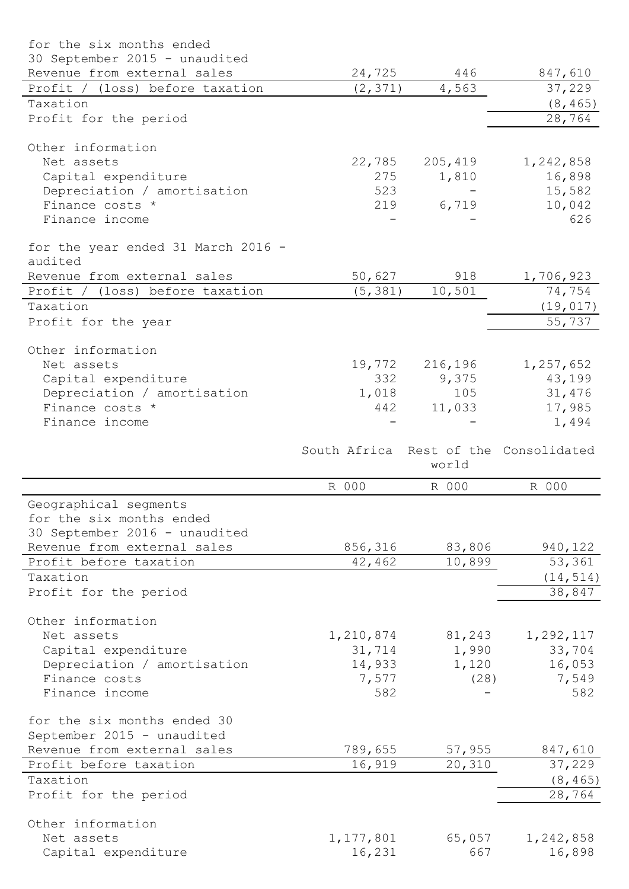| for the six months ended               |                                       |               |                     |
|----------------------------------------|---------------------------------------|---------------|---------------------|
| 30 September 2015 - unaudited          |                                       |               |                     |
| Revenue from external sales            | 24,725                                | 446           | 847,610             |
| Profit / (loss) before taxation        | (2, 371)                              | 4,563         | 37,229              |
| Taxation                               |                                       |               | (8, 465)            |
| Profit for the period                  |                                       |               | 28,764              |
| Other information                      |                                       |               |                     |
| Net assets                             | 22,785                                | 205,419       | 1,242,858           |
| Capital expenditure                    | 275                                   | 1,810         | 16,898              |
| Depreciation / amortisation            | 523                                   |               | 15,582              |
| Finance costs *                        | 219                                   | 6,719         | 10,042              |
| Finance income                         |                                       |               | 626                 |
| for the year ended 31 March 2016 -     |                                       |               |                     |
| audited<br>Revenue from external sales | 50,627                                | 918           | 1,706,923           |
| Profit / (loss) before taxation        | (5, 381)                              | 10, 501       | 74,754              |
| Taxation                               |                                       |               | (19, 017)           |
| Profit for the year                    |                                       |               | 55,737              |
| Other information                      |                                       |               |                     |
| Net assets                             | 19,772                                | 216,196       | 1,257,652           |
| Capital expenditure                    | 332                                   | 9,375         | 43,199              |
| Depreciation / amortisation            | 1,018                                 | 105           | 31,476              |
| Finance costs *                        | 442                                   | 11,033        | 17,985              |
| Finance income                         |                                       |               | 1,494               |
|                                        | South Africa Rest of the Consolidated | world         |                     |
|                                        | R 000                                 | R 000         | R 000               |
| Geographical segments                  |                                       |               |                     |
| for the six months ended               |                                       |               |                     |
|                                        |                                       |               |                     |
| 30 September 2016 - unaudited          |                                       |               |                     |
| Revenue from external sales            | 856,316                               | 83,806        | 940,122             |
| Profit before taxation                 | 42,462                                | 10,899        | 53,361              |
| Taxation                               |                                       |               | (14, 514)           |
| Profit for the period                  |                                       |               | 38,847              |
| Other information                      |                                       |               |                     |
| Net assets                             | 1,210,874                             | 81,243        | 1,292,117           |
| Capital expenditure                    | 31,714                                | 1,990         | 33,704              |
| Depreciation / amortisation            | 14,933                                | 1,120         | 16,053              |
| Finance costs                          | 7,577                                 | (28)          | 7,549               |
| Finance income                         | 582                                   |               | 582                 |
| for the six months ended 30            |                                       |               |                     |
| September 2015 - unaudited             |                                       |               |                     |
| Revenue from external sales            | 789,655                               | 57,955        | 847,610             |
| Profit before taxation                 | 16,919                                | 20,310        | 37,229              |
| Taxation                               |                                       |               | (8, 465)            |
| Profit for the period                  |                                       |               | 28,764              |
| Other information                      |                                       |               |                     |
| Net assets<br>Capital expenditure      | 1,177,801<br>16,231                   | 65,057<br>667 | 1,242,858<br>16,898 |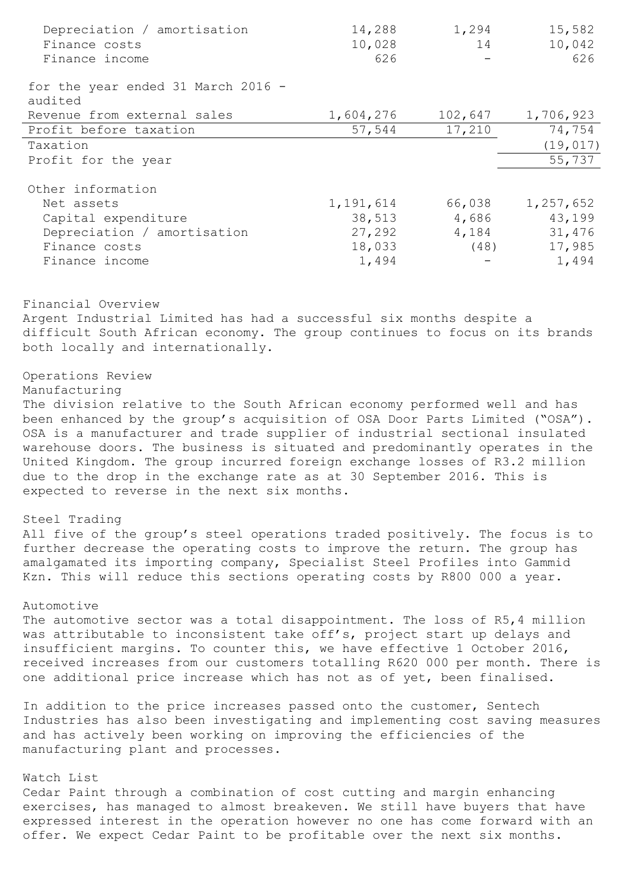| Depreciation / amortisation                   | 14,288    | 1,294   | 15,582    |
|-----------------------------------------------|-----------|---------|-----------|
| Finance costs                                 | 10,028    | 14      | 10,042    |
| Finance income                                | 626       |         | 626       |
| for the year ended 31 March 2016 -<br>audited |           |         |           |
| Revenue from external sales                   | 1,604,276 | 102,647 | 1,706,923 |
| Profit before taxation                        | 57,544    | 17,210  | 74,754    |
| Taxation                                      |           |         | (19, 017) |
| Profit for the year                           |           |         | 55,737    |
| Other information                             |           |         |           |
| Net assets                                    | 1,191,614 | 66,038  | 1,257,652 |
| Capital expenditure                           | 38,513    | 4,686   | 43,199    |
| Depreciation / amortisation                   | 27,292    | 4,184   | 31,476    |
| Finance costs                                 | 18,033    | (48)    | 17,985    |
| Finance income                                | 1,494     |         | 1,494     |

Financial Overview

Argent Industrial Limited has had a successful six months despite a difficult South African economy. The group continues to focus on its brands both locally and internationally.

# Operations Review

## Manufacturing

The division relative to the South African economy performed well and has been enhanced by the group's acquisition of OSA Door Parts Limited ("OSA"). OSA is a manufacturer and trade supplier of industrial sectional insulated warehouse doors. The business is situated and predominantly operates in the United Kingdom. The group incurred foreign exchange losses of R3.2 million due to the drop in the exchange rate as at 30 September 2016. This is expected to reverse in the next six months.

## Steel Trading

All five of the group's steel operations traded positively. The focus is to further decrease the operating costs to improve the return. The group has amalgamated its importing company, Specialist Steel Profiles into Gammid Kzn. This will reduce this sections operating costs by R800 000 a year.

## Automotive

The automotive sector was a total disappointment. The loss of R5,4 million was attributable to inconsistent take off's, project start up delays and insufficient margins. To counter this, we have effective 1 October 2016, received increases from our customers totalling R620 000 per month. There is one additional price increase which has not as of yet, been finalised.

In addition to the price increases passed onto the customer, Sentech Industries has also been investigating and implementing cost saving measures and has actively been working on improving the efficiencies of the manufacturing plant and processes.

#### Watch List

Cedar Paint through a combination of cost cutting and margin enhancing exercises, has managed to almost breakeven. We still have buyers that have expressed interest in the operation however no one has come forward with an offer. We expect Cedar Paint to be profitable over the next six months.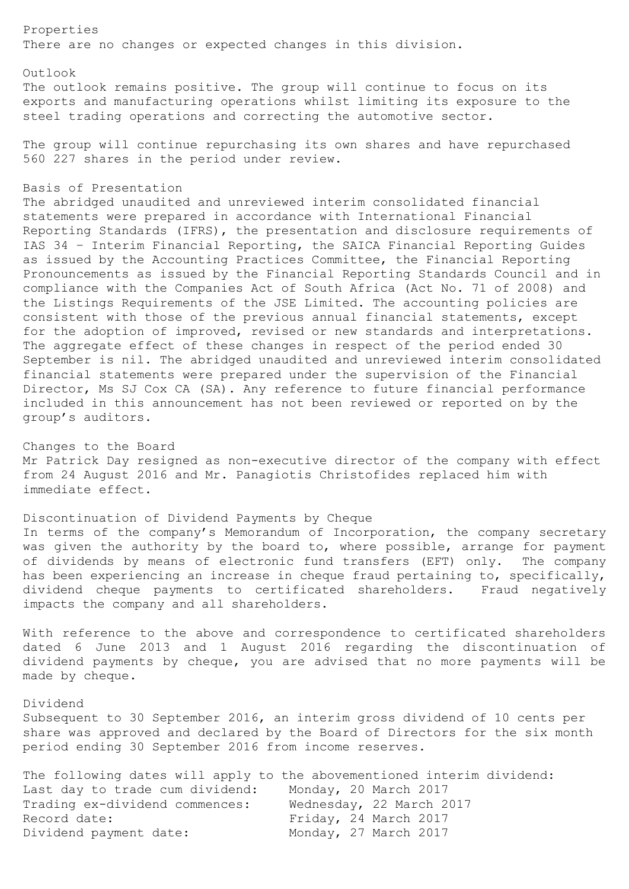Properties There are no changes or expected changes in this division.

Outlook

The outlook remains positive. The group will continue to focus on its exports and manufacturing operations whilst limiting its exposure to the steel trading operations and correcting the automotive sector.

The group will continue repurchasing its own shares and have repurchased 560 227 shares in the period under review.

### Basis of Presentation

The abridged unaudited and unreviewed interim consolidated financial statements were prepared in accordance with International Financial Reporting Standards (IFRS), the presentation and disclosure requirements of IAS 34 – Interim Financial Reporting, the SAICA Financial Reporting Guides as issued by the Accounting Practices Committee, the Financial Reporting Pronouncements as issued by the Financial Reporting Standards Council and in compliance with the Companies Act of South Africa (Act No. 71 of 2008) and the Listings Requirements of the JSE Limited. The accounting policies are consistent with those of the previous annual financial statements, except for the adoption of improved, revised or new standards and interpretations. The aggregate effect of these changes in respect of the period ended 30 September is nil. The abridged unaudited and unreviewed interim consolidated financial statements were prepared under the supervision of the Financial Director, Ms SJ Cox CA (SA). Any reference to future financial performance included in this announcement has not been reviewed or reported on by the group's auditors.

Changes to the Board Mr Patrick Day resigned as non-executive director of the company with effect from 24 August 2016 and Mr. Panagiotis Christofides replaced him with immediate effect.

Discontinuation of Dividend Payments by Cheque In terms of the company's Memorandum of Incorporation, the company secretary was given the authority by the board to, where possible, arrange for payment of dividends by means of electronic fund transfers (EFT) only. The company has been experiencing an increase in cheque fraud pertaining to, specifically, dividend cheque payments to certificated shareholders. Fraud negatively impacts the company and all shareholders.

With reference to the above and correspondence to certificated shareholders dated 6 June 2013 and 1 August 2016 regarding the discontinuation of dividend payments by cheque, you are advised that no more payments will be made by cheque.

#### Dividend

Subsequent to 30 September 2016, an interim gross dividend of 10 cents per share was approved and declared by the Board of Directors for the six month period ending 30 September 2016 from income reserves.

|                                 | The following dates will apply to the abovementioned interim dividend: |
|---------------------------------|------------------------------------------------------------------------|
| Last day to trade cum dividend: | Monday, 20 March 2017                                                  |
| Trading ex-dividend commences:  | Wednesday, 22 March 2017                                               |
| Record date:                    | Friday, 24 March 2017                                                  |
| Dividend payment date:          | Monday, 27 March 2017                                                  |